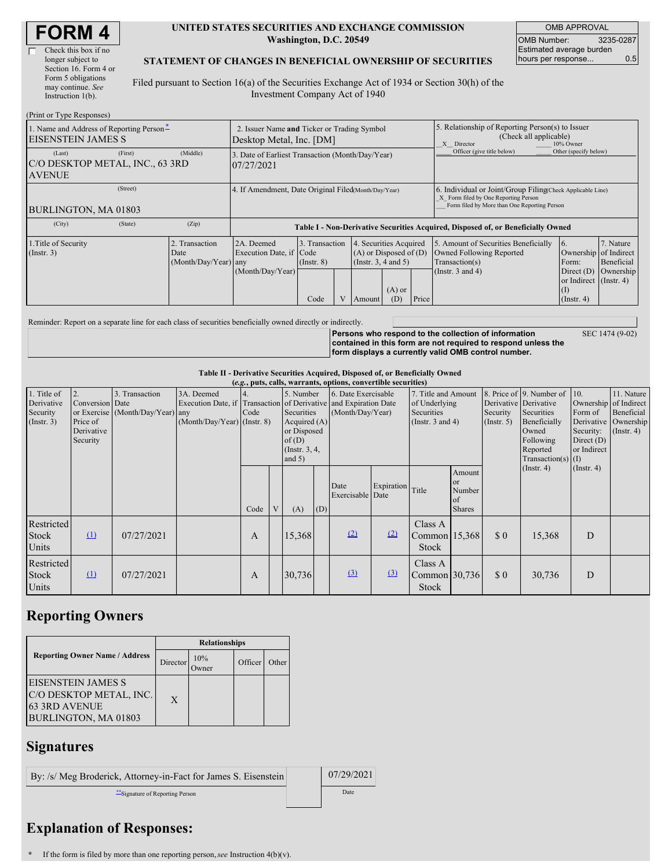#### **UNITED STATES SECURITIES AND EXCHANGE COMMISSION Washington, D.C. 20549**

OMB APPROVAL OMB Number: 3235-0287 Estimated average burden hours per response... 0.5

#### **STATEMENT OF CHANGES IN BENEFICIAL OWNERSHIP OF SECURITIES**

Filed pursuant to Section 16(a) of the Securities Exchange Act of 1934 or Section 30(h) of the Investment Company Act of 1940

| (Print or Type Responses)                                             |                                                                         |                                                                  |                                           |  |                                                                                        |                                                                                                       |       |                                                                                                                                                    |                                                                                                          |                                      |  |
|-----------------------------------------------------------------------|-------------------------------------------------------------------------|------------------------------------------------------------------|-------------------------------------------|--|----------------------------------------------------------------------------------------|-------------------------------------------------------------------------------------------------------|-------|----------------------------------------------------------------------------------------------------------------------------------------------------|----------------------------------------------------------------------------------------------------------|--------------------------------------|--|
| 1. Name and Address of Reporting Person-<br><b>EISENSTEIN JAMES S</b> | 2. Issuer Name and Ticker or Trading Symbol<br>Desktop Metal, Inc. [DM] |                                                                  |                                           |  |                                                                                        | 5. Relationship of Reporting Person(s) to Issuer<br>(Check all applicable)<br>10% Owner<br>X Director |       |                                                                                                                                                    |                                                                                                          |                                      |  |
| (First)<br>(Last)<br>C/O DESKTOP METAL, INC., 63 3RD<br><b>AVENUE</b> | (Middle)                                                                | 3. Date of Earliest Transaction (Month/Day/Year)<br>07/27/2021   |                                           |  |                                                                                        |                                                                                                       |       | Officer (give title below)                                                                                                                         | Other (specify below)                                                                                    |                                      |  |
| (Street)<br>BURLINGTON, MA 01803                                      |                                                                         | 4. If Amendment, Date Original Filed(Month/Day/Year)             |                                           |  |                                                                                        |                                                                                                       |       | 6. Individual or Joint/Group Filing Check Applicable Line)<br>X Form filed by One Reporting Person<br>Form filed by More than One Reporting Person |                                                                                                          |                                      |  |
| (City)<br>(State)                                                     | (Zip)                                                                   |                                                                  |                                           |  |                                                                                        |                                                                                                       |       | Table I - Non-Derivative Securities Acquired, Disposed of, or Beneficially Owned                                                                   |                                                                                                          |                                      |  |
| 1. Title of Security<br>$($ Instr. 3 $)$                              | 2. Transaction<br>Date<br>(Month/Day/Year)                              | 2A. Deemed<br>Execution Date, if Code<br>any<br>(Month/Day/Year) | 3. Transaction<br>$($ Instr. $8)$<br>Code |  | 4. Securities Acquired<br>$(A)$ or Disposed of $(D)$<br>(Insert. 3, 4 and 5)<br>Amount | $(A)$ or<br>(D)                                                                                       | Price | 5. Amount of Securities Beneficially<br>Owned Following Reported<br>Transaction(s)<br>(Instr. 3 and 4)                                             | 16.<br>Ownership of Indirect<br>Form:<br>Direct $(D)$<br>or Indirect (Instr. 4)<br>Œ<br>$($ Instr. 4 $)$ | 7. Nature<br>Beneficial<br>Ownership |  |

Reminder: Report on a separate line for each class of securities beneficially owned directly or indirectly.

**Persons who respond to the collection of information contained in this form are not required to respond unless the form displays a currently valid OMB control number.**

SEC 1474 (9-02)

### **Table II - Derivative Securities Acquired, Disposed of, or Beneficially Owned**

|                                                      | (e.g., puts, calls, warrants, options, convertible securities)<br>8. Price of 9. Number of<br>3. Transaction<br>3A. Deemed<br>5. Number<br>6. Date Exercisable<br>7. Title and Amount<br>10.<br>11. Nature<br>2.<br>Conversion Date<br>Execution Date, if Transaction of Derivative and Expiration Date<br>Derivative Derivative<br>Ownership of Indirect<br>of Underlying<br>Securities<br>or Exercise (Month/Day/Year) any<br>Code<br>(Month/Day/Year)<br>Form of<br><b>Beneficial</b><br>Securities<br>Security<br>Securities<br>Price of<br>$(Month/Day/Year)$ (Instr. 8)<br>Acquired $(A)$<br>(Insert. 3 and 4)<br>Derivative Ownership<br>Beneficially<br>$($ Instr. 5 $)$<br>or Disposed<br>Owned<br>$($ Instr. 4 $)$<br>Derivative<br>Security:<br>Following<br>of(D)<br>Direct $(D)$<br>Security<br>$($ Instr. 3, 4,<br>or Indirect<br>Reported<br>and $5)$<br>Transaction(s) $(I)$<br>$($ Instr. 4 $)$<br>$($ Instr. 4 $)$ |            |  |              |   |        |     |                     |                    |                                          |                                               |     |        |   |  |
|------------------------------------------------------|--------------------------------------------------------------------------------------------------------------------------------------------------------------------------------------------------------------------------------------------------------------------------------------------------------------------------------------------------------------------------------------------------------------------------------------------------------------------------------------------------------------------------------------------------------------------------------------------------------------------------------------------------------------------------------------------------------------------------------------------------------------------------------------------------------------------------------------------------------------------------------------------------------------------------------------|------------|--|--------------|---|--------|-----|---------------------|--------------------|------------------------------------------|-----------------------------------------------|-----|--------|---|--|
| 1. Title of<br>Derivative<br>Security<br>(Insert. 3) |                                                                                                                                                                                                                                                                                                                                                                                                                                                                                                                                                                                                                                                                                                                                                                                                                                                                                                                                      |            |  |              |   |        |     |                     |                    |                                          |                                               |     |        |   |  |
|                                                      |                                                                                                                                                                                                                                                                                                                                                                                                                                                                                                                                                                                                                                                                                                                                                                                                                                                                                                                                      |            |  | Code         | V | (A)    | (D) | Date<br>Exercisable | Expiration<br>Date | Title                                    | Amount<br>or<br>Number<br>of<br><b>Shares</b> |     |        |   |  |
| Restricted<br><b>Stock</b><br>Units                  | $\Omega$                                                                                                                                                                                                                                                                                                                                                                                                                                                                                                                                                                                                                                                                                                                                                                                                                                                                                                                             | 07/27/2021 |  | $\mathbf{A}$ |   | 15,368 |     | (2)                 | (2)                | Class A<br>Common 15,368<br><b>Stock</b> |                                               | \$0 | 15,368 | D |  |
| Restricted<br><b>Stock</b><br>Units                  | $\Omega$                                                                                                                                                                                                                                                                                                                                                                                                                                                                                                                                                                                                                                                                                                                                                                                                                                                                                                                             | 07/27/2021 |  | $\mathbf{A}$ |   | 30,736 |     | $\Omega$            | $\left(3\right)$   | Class A<br>Common 30,736<br><b>Stock</b> |                                               | \$0 | 30,736 | D |  |

## **Reporting Owners**

|                                                                                                      | <b>Relationships</b> |                     |         |       |  |  |  |
|------------------------------------------------------------------------------------------------------|----------------------|---------------------|---------|-------|--|--|--|
| <b>Reporting Owner Name / Address</b>                                                                | Director             | 10%<br><b>Tymer</b> | Officer | Other |  |  |  |
| <b>EISENSTEIN JAMES S</b><br>C/O DESKTOP METAL, INC.<br><b>63 3RD AVENUE</b><br>BURLINGTON, MA 01803 | X                    |                     |         |       |  |  |  |

### **Signatures**

By: /s/ Meg Broderick, Attorney-in-Fact for James S. Eisenstein 07/29/2021 \*\*Signature of Reporting Person Date Date Date

# **Explanation of Responses:**

**\*** If the form is filed by more than one reporting person,*see* Instruction 4(b)(v).